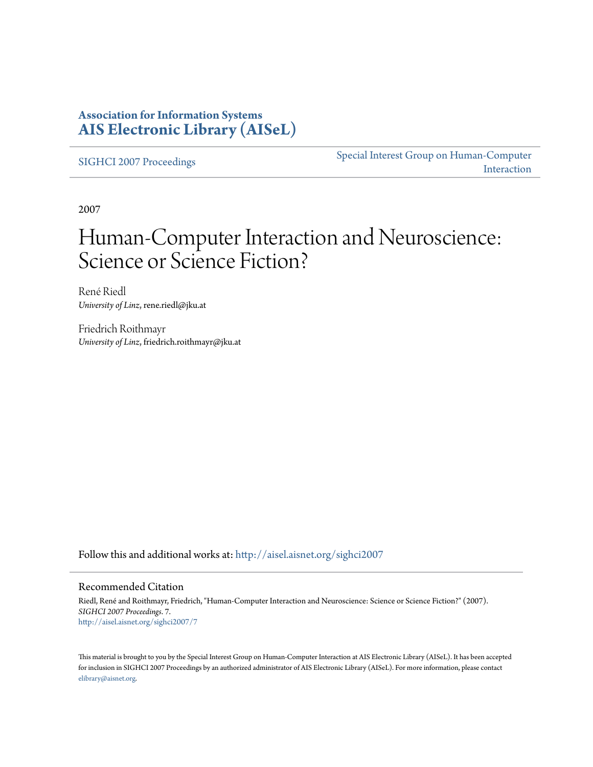### **Association for Information Systems [AIS Electronic Library \(AISeL\)](http://aisel.aisnet.org?utm_source=aisel.aisnet.org%2Fsighci2007%2F7&utm_medium=PDF&utm_campaign=PDFCoverPages)**

[SIGHCI 2007 Proceedings](http://aisel.aisnet.org/sighci2007?utm_source=aisel.aisnet.org%2Fsighci2007%2F7&utm_medium=PDF&utm_campaign=PDFCoverPages)

[Special Interest Group on Human-Computer](http://aisel.aisnet.org/sighci?utm_source=aisel.aisnet.org%2Fsighci2007%2F7&utm_medium=PDF&utm_campaign=PDFCoverPages) [Interaction](http://aisel.aisnet.org/sighci?utm_source=aisel.aisnet.org%2Fsighci2007%2F7&utm_medium=PDF&utm_campaign=PDFCoverPages)

2007

# Human-Computer Interaction and Neuroscience: Science or Science Fiction?

René Riedl *University of Linz*, rene.riedl@jku.at

Friedrich Roithmayr *University of Linz*, friedrich.roithmayr@jku.at

Follow this and additional works at: [http://aisel.aisnet.org/sighci2007](http://aisel.aisnet.org/sighci2007?utm_source=aisel.aisnet.org%2Fsighci2007%2F7&utm_medium=PDF&utm_campaign=PDFCoverPages)

### Recommended Citation

Riedl, René and Roithmayr, Friedrich, "Human-Computer Interaction and Neuroscience: Science or Science Fiction?" (2007). *SIGHCI 2007 Proceedings*. 7. [http://aisel.aisnet.org/sighci2007/7](http://aisel.aisnet.org/sighci2007/7?utm_source=aisel.aisnet.org%2Fsighci2007%2F7&utm_medium=PDF&utm_campaign=PDFCoverPages)

This material is brought to you by the Special Interest Group on Human-Computer Interaction at AIS Electronic Library (AISeL). It has been accepted for inclusion in SIGHCI 2007 Proceedings by an authorized administrator of AIS Electronic Library (AISeL). For more information, please contact [elibrary@aisnet.org.](mailto:elibrary@aisnet.org%3E)